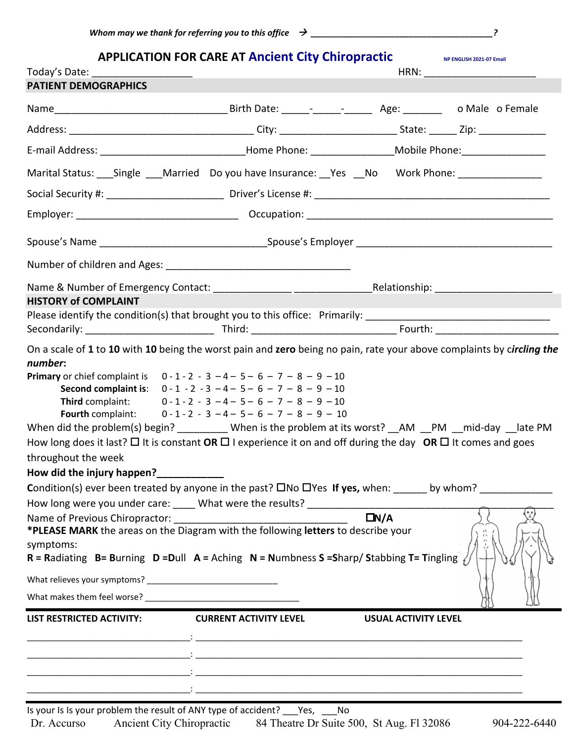| Today's Date: ______________________<br><b>PATIENT DEMOGRAPHICS</b>                 | APPLICATION FOR CARE AT Ancient City Chiropractic NP ENGLISH 2021-07 Email                                                                                                                                                                                                                                                                                                                                                                                                                                                                                                                                                                                                                                                                                                                                                                                                                            |                             | HRN: _____________________________ |
|-------------------------------------------------------------------------------------|-------------------------------------------------------------------------------------------------------------------------------------------------------------------------------------------------------------------------------------------------------------------------------------------------------------------------------------------------------------------------------------------------------------------------------------------------------------------------------------------------------------------------------------------------------------------------------------------------------------------------------------------------------------------------------------------------------------------------------------------------------------------------------------------------------------------------------------------------------------------------------------------------------|-----------------------------|------------------------------------|
|                                                                                     |                                                                                                                                                                                                                                                                                                                                                                                                                                                                                                                                                                                                                                                                                                                                                                                                                                                                                                       |                             |                                    |
|                                                                                     |                                                                                                                                                                                                                                                                                                                                                                                                                                                                                                                                                                                                                                                                                                                                                                                                                                                                                                       |                             |                                    |
|                                                                                     |                                                                                                                                                                                                                                                                                                                                                                                                                                                                                                                                                                                                                                                                                                                                                                                                                                                                                                       |                             |                                    |
|                                                                                     | Marital Status: Single Married Do you have Insurance: Yes No Work Phone: Marital Status: Marital Married Do you have Insurance: Yes No                                                                                                                                                                                                                                                                                                                                                                                                                                                                                                                                                                                                                                                                                                                                                                |                             |                                    |
|                                                                                     |                                                                                                                                                                                                                                                                                                                                                                                                                                                                                                                                                                                                                                                                                                                                                                                                                                                                                                       |                             |                                    |
|                                                                                     |                                                                                                                                                                                                                                                                                                                                                                                                                                                                                                                                                                                                                                                                                                                                                                                                                                                                                                       |                             |                                    |
|                                                                                     |                                                                                                                                                                                                                                                                                                                                                                                                                                                                                                                                                                                                                                                                                                                                                                                                                                                                                                       |                             |                                    |
|                                                                                     |                                                                                                                                                                                                                                                                                                                                                                                                                                                                                                                                                                                                                                                                                                                                                                                                                                                                                                       |                             |                                    |
| <b>HISTORY of COMPLAINT</b>                                                         |                                                                                                                                                                                                                                                                                                                                                                                                                                                                                                                                                                                                                                                                                                                                                                                                                                                                                                       |                             |                                    |
|                                                                                     | Please identify the condition(s) that brought you to this office: Primarily: _________________________________                                                                                                                                                                                                                                                                                                                                                                                                                                                                                                                                                                                                                                                                                                                                                                                        |                             |                                    |
| number:<br>throughout the week<br>How did the injury happen?__________<br>symptoms: | <b>Primary</b> or chief complaint is $0 - 1 - 2 - 3 - 4 - 5 - 6 - 7 - 8 - 9 - 10$<br>Second complaint is: $0 - 1 - 2 - 3 - 4 - 5 - 6 - 7 - 8 - 9 - 10$<br><b>Third</b> complaint: $0 - 1 - 2 - 3 - 4 - 5 - 6 - 7 - 8 - 9 - 10$<br><b>Fourth</b> complaint: $0 - 1 - 2 - 3 - 4 - 5 - 6 - 7 - 8 - 9 - 10$<br>When did the problem(s) begin? ________ When is the problem at its worst? __AM __PM __mid-day __late PM<br>How long does it last? $\Box$ It is constant OR $\Box$ I experience it on and off during the day OR $\Box$ It comes and goes<br>Condition(s) ever been treated by anyone in the past? ONo OYes If yes, when: _____ by whom? ________<br>How long were you under care: What were the results?<br>*PLEASE MARK the areas on the Diagram with the following letters to describe your<br>$R =$ Radiating B= Burning D = Dull A = Aching N = Numbness S = Sharp/Stabbing T= Tingling | $\Box N/A$                  |                                    |
|                                                                                     | LIST RESTRICTED ACTIVITY: CURRENT ACTIVITY LEVEL                                                                                                                                                                                                                                                                                                                                                                                                                                                                                                                                                                                                                                                                                                                                                                                                                                                      | <b>USUAL ACTIVITY LEVEL</b> |                                    |
|                                                                                     | <u> 1989 - Johann Barn, mars ann an t-Amhain ann an t-Amhain ann an t-Amhain ann an t-Amhain an t-Amhain an t-Amh</u>                                                                                                                                                                                                                                                                                                                                                                                                                                                                                                                                                                                                                                                                                                                                                                                 |                             |                                    |
|                                                                                     |                                                                                                                                                                                                                                                                                                                                                                                                                                                                                                                                                                                                                                                                                                                                                                                                                                                                                                       |                             |                                    |
| <u> 1989 - Johann Barbara, martxa alemaniar amerikan personal (h. 1989).</u>        |                                                                                                                                                                                                                                                                                                                                                                                                                                                                                                                                                                                                                                                                                                                                                                                                                                                                                                       |                             |                                    |
|                                                                                     |                                                                                                                                                                                                                                                                                                                                                                                                                                                                                                                                                                                                                                                                                                                                                                                                                                                                                                       |                             |                                    |

Dr. Accurso Ancient City Chiropractic 84 Theatre Dr Suite 500, St Aug. Fl 32086 904-222-6440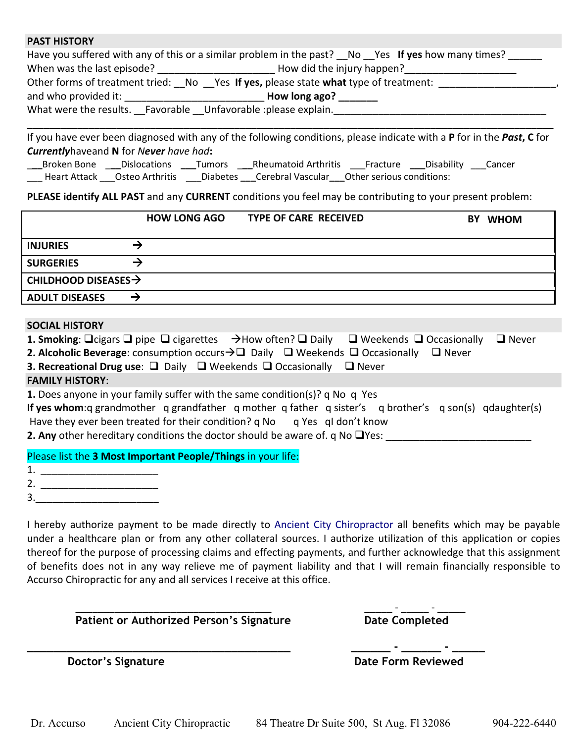| <b>PAST HISTORY</b>                                                                                |  |
|----------------------------------------------------------------------------------------------------|--|
| Have you suffered with any of this or a similar problem in the past? No Yes If yes how many times? |  |
| When was the last episode? _____________________                                                   |  |
| Other forms of treatment tried: No Yes If yes, please state what type of treatment:                |  |
| and who provided it: and who provided it:<br>How long ago?                                         |  |
| What were the results. Favorable Unfavorable: please explain.                                      |  |
|                                                                                                    |  |

If you have ever been diagnosed with any of the following conditions, please indicate with a P for in the Past, C for Currentlyhaveand N for Never have had:

| Broken Bone | <b>Dislocations</b>          | Tumors | <b>Rheumatoid Arthritis</b>                          | Fracture | <b>Disability</b> | Cancer |
|-------------|------------------------------|--------|------------------------------------------------------|----------|-------------------|--------|
|             | Heart Attack Osteo Arthritis |        | Diabetes Cerebral Vascular Other serious conditions: |          |                   |        |

|                                                 | <b>HOW LONG AGO</b>                                          | <b>TYPE OF CARE RECEIVED</b>                                                                                                                                                                                                                                                                                                                                                         | BY WHOM      |
|-------------------------------------------------|--------------------------------------------------------------|--------------------------------------------------------------------------------------------------------------------------------------------------------------------------------------------------------------------------------------------------------------------------------------------------------------------------------------------------------------------------------------|--------------|
| <b>INJURIES</b>                                 | $\rightarrow$                                                |                                                                                                                                                                                                                                                                                                                                                                                      |              |
| <b>SURGERIES</b>                                | $\rightarrow$                                                |                                                                                                                                                                                                                                                                                                                                                                                      |              |
| CHILDHOOD DISEASES $\rightarrow$                |                                                              |                                                                                                                                                                                                                                                                                                                                                                                      |              |
| <b>ADULT DISEASES</b>                           | $\rightarrow$                                                |                                                                                                                                                                                                                                                                                                                                                                                      |              |
| <b>SOCIAL HISTORY</b><br><b>FAMILY HISTORY:</b> |                                                              | <b>1. Smoking:</b> $\Box$ cigars $\Box$ pipe $\Box$ cigarettes $\rightarrow$ How often? $\Box$ Daily $\Box$ Weekends $\Box$ Occasionally<br><b>2. Alcoholic Beverage:</b> consumption occurs $\rightarrow \square$ Daily $\square$ Weekends $\square$ Occasionally $\square$ Never<br><b>3. Recreational Drug use:</b> $\Box$ Daily $\Box$ Weekends $\Box$ Occasionally $\Box$ Never | $\Box$ Never |
|                                                 |                                                              | 1. Does anyone in your family suffer with the same condition(s)? q No q Yes<br>If yes whom: q grandmother q grandfather q mother q father q sister's q brother's q son(s) qdaughter(s)<br>Have they ever been treated for their condition? q No q Yes ql don't know<br><b>2. Any</b> other hereditary conditions the doctor should be aware of. q No $\Box$ Yes:                     |              |
| 2.                                              | Please list the 3 Most Important People/Things in your life: |                                                                                                                                                                                                                                                                                                                                                                                      |              |

#### SOCIAL HISTORY

| <b>1. Smoking:</b> $\Box$ cigars $\Box$ pipe $\Box$ cigarettes $\rightarrow$ How often? $\Box$ Daily $\Box$ Weekends $\Box$ Occasionally $\Box$ Never |  |  |
|-------------------------------------------------------------------------------------------------------------------------------------------------------|--|--|
| <b>2. Alcoholic Beverage:</b> consumption occurs $\rightarrow \square$ Daily $\square$ Weekends $\square$ Occasionally $\square$ Never                |  |  |

### FAMILY HISTORY:

| <b>SOCIAL HISTORY</b>      |                                                                                                                                                          |
|----------------------------|----------------------------------------------------------------------------------------------------------------------------------------------------------|
|                            | <b>1. Smoking:</b> $\Box$ cigars $\Box$ pipe $\Box$ cigarettes $\rightarrow$ How often? $\Box$ Daily $\Box$ Weekends $\Box$ Occasionally<br>$\Box$ Never |
|                            | <b>2. Alcoholic Beverage:</b> consumption occurs $\rightarrow \square$ Daily $\square$ Weekends $\square$ Occasionally $\square$ Never                   |
|                            | <b>3. Recreational Drug use:</b> $\Box$ Daily $\Box$ Weekends $\Box$ Occasionally $\Box$ Never                                                           |
| <b>FAMILY HISTORY:</b>     |                                                                                                                                                          |
|                            | <b>1.</b> Does anyone in your family suffer with the same condition(s)? $q$ No $q$ Yes                                                                   |
|                            | If yes whom: q grandmother q grandfather q mother q father q sister's q brother's q son(s) qdaughter(s)                                                  |
|                            | Have they ever been treated for their condition? q No q Yes ql don't know                                                                                |
|                            | <b>2. Any</b> other hereditary conditions the doctor should be aware of. q No $\Box$ Yes:                                                                |
|                            |                                                                                                                                                          |
|                            |                                                                                                                                                          |
|                            | Please list the 3 Most Important People/Things in your life:                                                                                             |
|                            |                                                                                                                                                          |
| $1.$ $\qquad \qquad$<br>3. |                                                                                                                                                          |

## Please list the 3 Most Important People/Things in your life:

I hereby authorize payment to be made directly to Ancient City Chiropractor all benefits which may be payable under a healthcare plan or from any other collateral sources. I authorize utilization of this application or copies thereof for the purpose of processing claims and effecting payments, and further acknowledge that this assignment of benefits does not in any way relieve me of payment liability and that I will remain financially responsible to Accurso Chiropractic for any and all services I receive at this office.

\_\_\_\_\_\_\_\_\_\_\_\_\_\_\_\_\_\_\_\_\_\_\_\_\_\_\_\_\_\_\_\_\_\_\_\_\_\_\_\_ \_\_\_\_\_\_ - \_\_\_\_\_\_ - \_\_\_\_\_

Patient or Authorized Person's Signature

|  | <b>Date Completed</b> |  |
|--|-----------------------|--|

**Doctor's Signature Community Controllering Controllering Date Form Reviewed**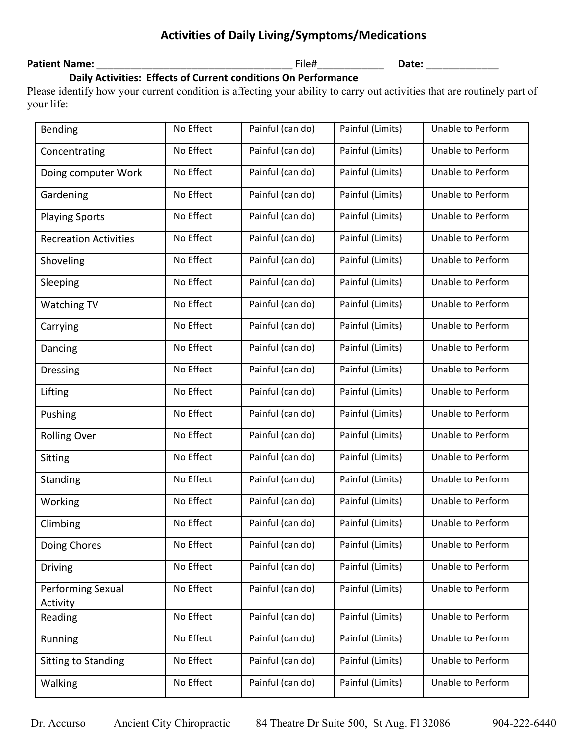Patient Name: \_\_\_\_\_\_\_\_\_\_\_\_\_\_\_\_\_\_\_\_\_\_\_\_\_\_\_\_\_\_\_\_\_\_\_ File#\_\_\_\_\_\_\_\_\_\_\_\_ Date: \_\_\_\_\_\_\_\_\_\_\_\_\_

Daily Activities: Effects of Current conditions On Performance Please identify how your current condition is affecting your ability to carry out activities that are routinely part of your life:

| <b>Bending</b>                | No Effect | Painful (can do) | Painful (Limits) | Unable to Perform |
|-------------------------------|-----------|------------------|------------------|-------------------|
| Concentrating                 | No Effect | Painful (can do) | Painful (Limits) | Unable to Perform |
| Doing computer Work           | No Effect | Painful (can do) | Painful (Limits) | Unable to Perform |
| Gardening                     | No Effect | Painful (can do) | Painful (Limits) | Unable to Perform |
| <b>Playing Sports</b>         | No Effect | Painful (can do) | Painful (Limits) | Unable to Perform |
| <b>Recreation Activities</b>  | No Effect | Painful (can do) | Painful (Limits) | Unable to Perform |
| Shoveling                     | No Effect | Painful (can do) | Painful (Limits) | Unable to Perform |
| Sleeping                      | No Effect | Painful (can do) | Painful (Limits) | Unable to Perform |
| Watching TV                   | No Effect | Painful (can do) | Painful (Limits) | Unable to Perform |
| Carrying                      | No Effect | Painful (can do) | Painful (Limits) | Unable to Perform |
| Dancing                       | No Effect | Painful (can do) | Painful (Limits) | Unable to Perform |
| <b>Dressing</b>               | No Effect | Painful (can do) | Painful (Limits) | Unable to Perform |
| Lifting                       | No Effect | Painful (can do) | Painful (Limits) | Unable to Perform |
| Pushing                       | No Effect | Painful (can do) | Painful (Limits) | Unable to Perform |
| <b>Rolling Over</b>           | No Effect | Painful (can do) | Painful (Limits) | Unable to Perform |
| <b>Sitting</b>                | No Effect | Painful (can do) | Painful (Limits) | Unable to Perform |
| Standing                      | No Effect | Painful (can do) | Painful (Limits) | Unable to Perform |
| Working                       | No Effect | Painful (can do) | Painful (Limits) | Unable to Perform |
| Climbing                      | No Effect | Painful (can do) | Painful (Limits) | Unable to Perform |
| Doing Chores                  | No Effect | Painful (can do) | Painful (Limits) | Unable to Perform |
| <b>Driving</b>                | No Effect | Painful (can do) | Painful (Limits) | Unable to Perform |
| Performing Sexual<br>Activity | No Effect | Painful (can do) | Painful (Limits) | Unable to Perform |
| Reading                       | No Effect | Painful (can do) | Painful (Limits) | Unable to Perform |
| Running                       | No Effect | Painful (can do) | Painful (Limits) | Unable to Perform |
| <b>Sitting to Standing</b>    | No Effect | Painful (can do) | Painful (Limits) | Unable to Perform |
| Walking                       | No Effect | Painful (can do) | Painful (Limits) | Unable to Perform |
|                               |           |                  |                  |                   |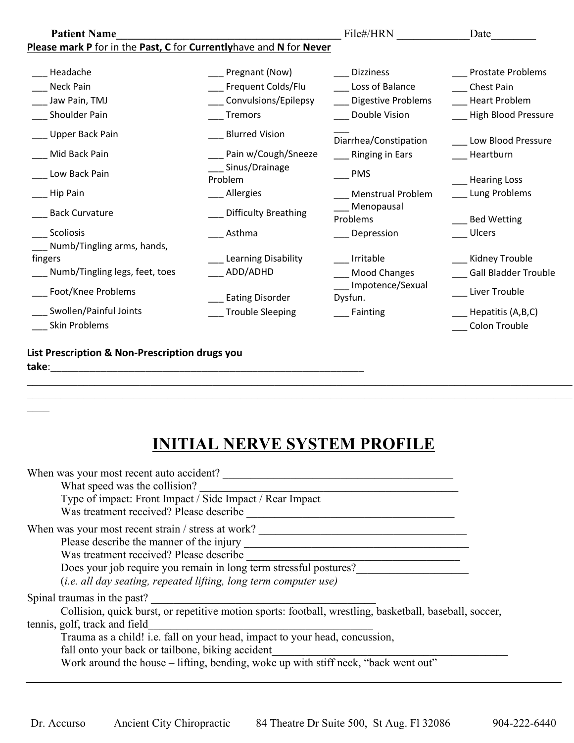| <b>Patient Name</b>                                                     |                                        | File#/HRN                                            | Date                                          |
|-------------------------------------------------------------------------|----------------------------------------|------------------------------------------------------|-----------------------------------------------|
| Please mark P for in the Past, C for Currentlyhave and N for Never      |                                        |                                                      |                                               |
| Headache                                                                | Pregnant (Now)                         | <b>Dizziness</b>                                     | <b>Prostate Problems</b>                      |
| <b>Neck Pain</b>                                                        | Frequent Colds/Flu                     | Loss of Balance                                      | Chest Pain                                    |
| Jaw Pain, TMJ                                                           | Convulsions/Epilepsy                   | Digestive Problems                                   | <b>Heart Problem</b>                          |
| Shoulder Pain                                                           | Tremors                                | Double Vision                                        | High Blood Pressure                           |
| Upper Back Pain                                                         | <b>Blurred Vision</b>                  | Diarrhea/Constipation                                | Low Blood Pressure                            |
| Mid Back Pain                                                           | Pain w/Cough/Sneeze                    | ___ Ringing in Ears                                  | Heartburn                                     |
| Low Back Pain                                                           | Sinus/Drainage<br>Problem              | <b>PMS</b>                                           | <b>Hearing Loss</b>                           |
| Hip Pain                                                                | _ Allergies                            | <b>Menstrual Problem</b>                             | Lung Problems                                 |
| <b>Back Curvature</b>                                                   | <b>Difficulty Breathing</b>            | Menopausal<br>Problems                               | <b>Bed Wetting</b>                            |
| Scoliosis                                                               | Asthma                                 | Depression                                           | <b>Ulcers</b>                                 |
| Numb/Tingling arms, hands,<br>fingers<br>Numb/Tingling legs, feet, toes | <b>Learning Disability</b><br>ADD/ADHD | Irritable<br><b>Mood Changes</b><br>Impotence/Sexual | Kidney Trouble<br><b>Gall Bladder Trouble</b> |
| Foot/Knee Problems                                                      | <b>Eating Disorder</b>                 | Dysfun.                                              | Liver Trouble                                 |
| Swollen/Painful Joints                                                  | <b>Trouble Sleeping</b>                | Fainting                                             | _ Hepatitis (A,B,C)                           |
| Skin Problems                                                           |                                        |                                                      | Colon Trouble                                 |
| List Prescription & Non-Prescription drugs you                          |                                        |                                                      |                                               |

## take:\_\_\_\_\_\_\_\_\_\_\_\_\_\_\_\_\_\_\_\_\_\_\_\_\_\_\_\_\_\_\_\_\_\_\_\_\_\_\_\_\_\_\_\_\_\_\_\_\_\_\_\_\_\_\_\_

# INITIAL NERVE SYSTEM PROFILE

| When was your most recent auto accident?                                                                |
|---------------------------------------------------------------------------------------------------------|
| What speed was the collision?                                                                           |
| Type of impact: Front Impact / Side Impact / Rear Impact                                                |
| Was treatment received? Please describe                                                                 |
| When was your most recent strain / stress at work?                                                      |
| Please describe the manner of the injury                                                                |
| Was treatment received? Please describe                                                                 |
| Does your job require you remain in long term stressful postures?                                       |
| (i.e. all day seating, repeated lifting, long term computer use)                                        |
| Spinal traumas in the past?                                                                             |
| Collision, quick burst, or repetitive motion sports: football, wrestling, basketball, baseball, soccer, |
| tennis, golf, track and field                                                                           |
| Trauma as a child! i.e. fall on your head, impact to your head, concussion,                             |
| fall onto your back or tailbone, biking accident                                                        |
| Work around the house – lifting, bending, woke up with stiff neck, "back went out"                      |